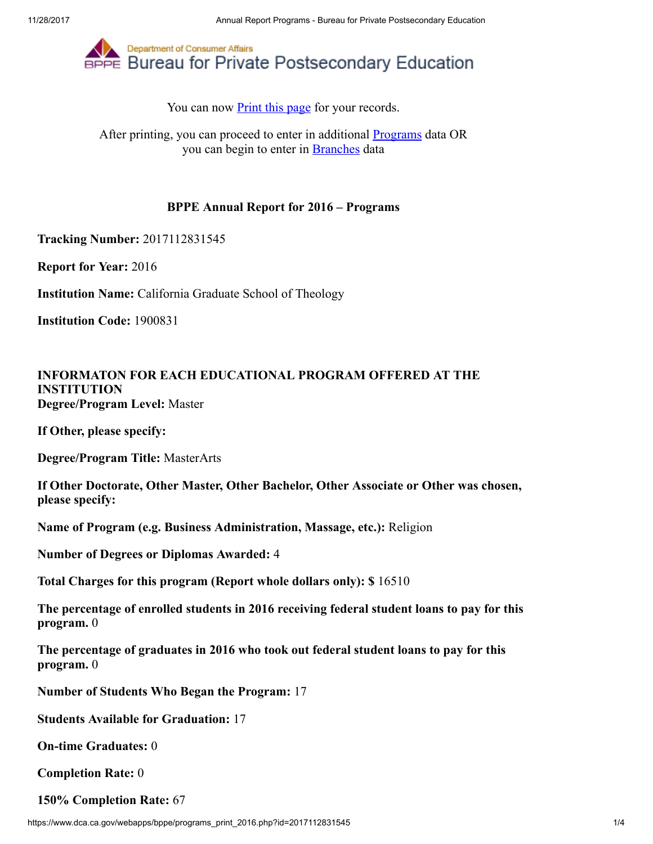

You can now **Print this page** for your records.

After printing, you can proceed to enter in additional **Programs** data OR you can begin to enter in [Branches](https://www.dca.ca.gov/webapps/bppe/report_branches_2016.php) data

## BPPE Annual Report for 2016 – Programs

Tracking Number: 2017112831545

Report for Year: 2016

Institution Name: California Graduate School of Theology

Institution Code: 1900831

## INFORMATON FOR EACH EDUCATIONAL PROGRAM OFFERED AT THE INSTITUTION Degree/Program Level: Master

If Other, please specify:

Degree/Program Title: MasterArts

If Other Doctorate, Other Master, Other Bachelor, Other Associate or Other was chosen, please specify:

Name of Program (e.g. Business Administration, Massage, etc.): Religion

Number of Degrees or Diplomas Awarded: 4

Total Charges for this program (Report whole dollars only): \$ 16510

The percentage of enrolled students in 2016 receiving federal student loans to pay for this program. 0

The percentage of graduates in 2016 who took out federal student loans to pay for this program. 0

Number of Students Who Began the Program: 17

Students Available for Graduation: 17

On-time Graduates: 0

Completion Rate: 0

150% Completion Rate: 67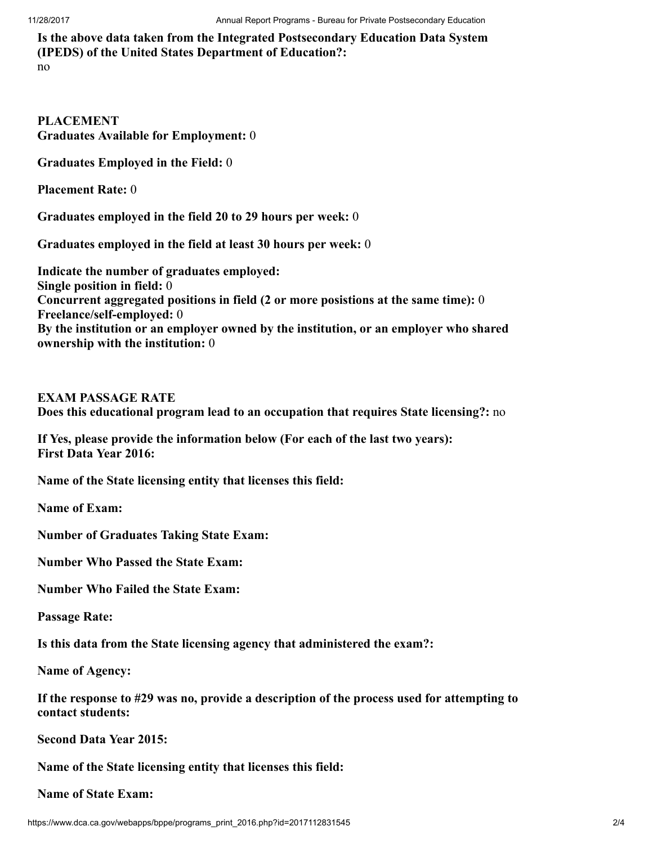Is the above data taken from the Integrated Postsecondary Education Data System (IPEDS) of the United States Department of Education?: no

PLACEMENT Graduates Available for Employment: 0

Graduates Employed in the Field: 0

Placement Rate: 0

Graduates employed in the field 20 to 29 hours per week: 0

Graduates employed in the field at least 30 hours per week: 0

Indicate the number of graduates employed: Single position in field: 0 Concurrent aggregated positions in field (2 or more posistions at the same time): 0 Freelance/self-employed: 0 By the institution or an employer owned by the institution, or an employer who shared ownership with the institution: 0

EXAM PASSAGE RATE

Does this educational program lead to an occupation that requires State licensing?: no

If Yes, please provide the information below (For each of the last two years): First Data Year 2016:

Name of the State licensing entity that licenses this field:

Name of Exam:

Number of Graduates Taking State Exam:

Number Who Passed the State Exam:

Number Who Failed the State Exam:

Passage Rate:

Is this data from the State licensing agency that administered the exam?:

Name of Agency:

If the response to #29 was no, provide a description of the process used for attempting to contact students:

Second Data Year 2015:

Name of the State licensing entity that licenses this field:

Name of State Exam: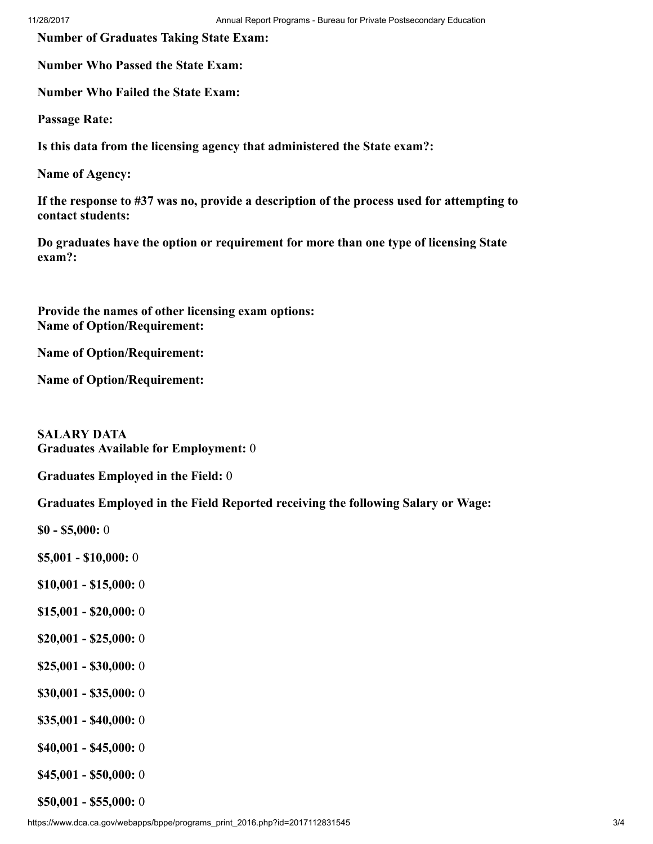Number of Graduates Taking State Exam:

Number Who Passed the State Exam:

Number Who Failed the State Exam:

Passage Rate:

Is this data from the licensing agency that administered the State exam?:

Name of Agency:

If the response to #37 was no, provide a description of the process used for attempting to contact students:

Do graduates have the option or requirement for more than one type of licensing State exam?:

Provide the names of other licensing exam options: Name of Option/Requirement:

Name of Option/Requirement:

Name of Option/Requirement:

SALARY DATA Graduates Available for Employment: 0

Graduates Employed in the Field: 0

Graduates Employed in the Field Reported receiving the following Salary or Wage:

\$0 - \$5,000: 0

\$5,001 - \$10,000: 0

- \$10,001 \$15,000: 0
- \$15,001 \$20,000: 0
- \$20,001 \$25,000: 0
- \$25,001 \$30,000: 0
- \$30,001 \$35,000: 0
- \$35,001 \$40,000: 0
- \$40,001 \$45,000: 0
- \$45,001 \$50,000: 0

\$50,001 - \$55,000: 0